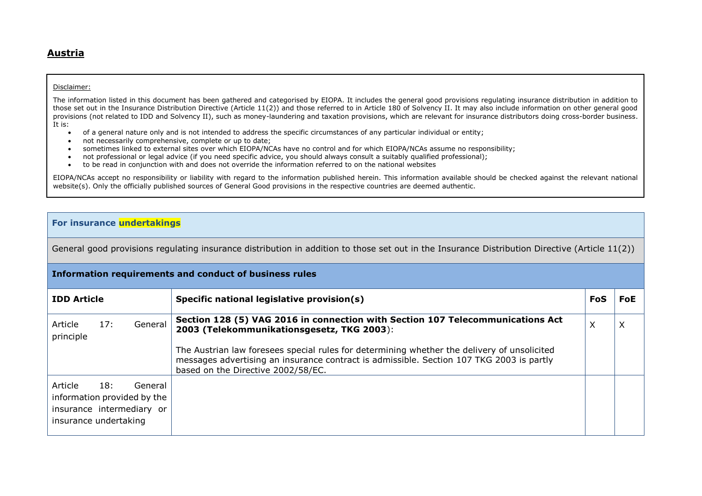## **Austria**

## Disclaimer:

The information listed in this document has been gathered and categorised by EIOPA. It includes the general good provisions regulating insurance distribution in addition to those set out in the Insurance Distribution Directive (Article 11(2)) and those referred to in Article 180 of Solvency II. It may also include information on other general good provisions (not related to IDD and Solvency II), such as money-laundering and taxation provisions, which are relevant for insurance distributors doing cross-border business. It is:

- of a general nature only and is not intended to address the specific circumstances of any particular individual or entity;
- not necessarily comprehensive, complete or up to date;
- sometimes linked to external sites over which EIOPA/NCAs have no control and for which EIOPA/NCAs assume no responsibility;
- not professional or legal advice (if you need specific advice, you should always consult a suitably qualified professional);
- to be read in conjunction with and does not override the information referred to on the national websites

EIOPA/NCAs accept no responsibility or liability with regard to the information published herein. This information available should be checked against the relevant national website(s). Only the officially published sources of General Good provisions in the respective countries are deemed authentic.

## **For insurance undertakings**

General good provisions regulating insurance distribution in addition to those set out in the Insurance Distribution Directive (Article 11(2))

|                                  | Information requirements and conduct of business rules |                                                                     |                                                                                                                                                                                                                               |     |            |
|----------------------------------|--------------------------------------------------------|---------------------------------------------------------------------|-------------------------------------------------------------------------------------------------------------------------------------------------------------------------------------------------------------------------------|-----|------------|
| <b>IDD Article</b>               |                                                        |                                                                     | Specific national legislative provision(s)                                                                                                                                                                                    | FoS | <b>FoE</b> |
| Article<br>principle             | 17:                                                    | General                                                             | Section 128 (5) VAG 2016 in connection with Section 107 Telecommunications Act<br>2003 (Telekommunikationsgesetz, TKG 2003):                                                                                                  | X   |            |
|                                  |                                                        |                                                                     | The Austrian law foresees special rules for determining whether the delivery of unsolicited<br>messages advertising an insurance contract is admissible. Section 107 TKG 2003 is partly<br>based on the Directive 2002/58/EC. |     |            |
| Article<br>insurance undertaking | 18:                                                    | General<br>information provided by the<br>insurance intermediary or |                                                                                                                                                                                                                               |     |            |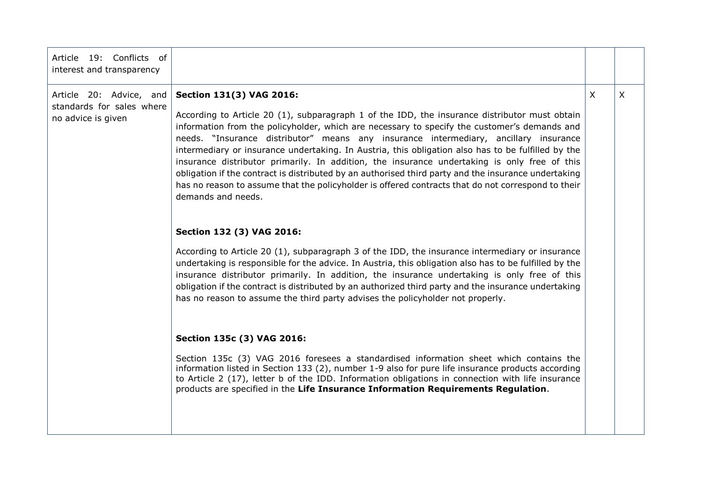| Article 19: Conflicts of<br>interest and transparency                      |                                                                                                                                                                                                                                                                                                                                                                                                                                                                                                                                                                                                                                                                                                                                                             |         |         |
|----------------------------------------------------------------------------|-------------------------------------------------------------------------------------------------------------------------------------------------------------------------------------------------------------------------------------------------------------------------------------------------------------------------------------------------------------------------------------------------------------------------------------------------------------------------------------------------------------------------------------------------------------------------------------------------------------------------------------------------------------------------------------------------------------------------------------------------------------|---------|---------|
| Article 20: Advice, and<br>standards for sales where<br>no advice is given | Section 131(3) VAG 2016:<br>According to Article 20 (1), subparagraph 1 of the IDD, the insurance distributor must obtain<br>information from the policyholder, which are necessary to specify the customer's demands and<br>needs. "Insurance distributor" means any insurance intermediary, ancillary insurance<br>intermediary or insurance undertaking. In Austria, this obligation also has to be fulfilled by the<br>insurance distributor primarily. In addition, the insurance undertaking is only free of this<br>obligation if the contract is distributed by an authorised third party and the insurance undertaking<br>has no reason to assume that the policyholder is offered contracts that do not correspond to their<br>demands and needs. | $\sf X$ | $\sf X$ |
|                                                                            | Section 132 (3) VAG 2016:<br>According to Article 20 (1), subparagraph 3 of the IDD, the insurance intermediary or insurance<br>undertaking is responsible for the advice. In Austria, this obligation also has to be fulfilled by the<br>insurance distributor primarily. In addition, the insurance undertaking is only free of this<br>obligation if the contract is distributed by an authorized third party and the insurance undertaking<br>has no reason to assume the third party advises the policyholder not properly.                                                                                                                                                                                                                            |         |         |
|                                                                            | Section 135c (3) VAG 2016:<br>Section 135c (3) VAG 2016 foresees a standardised information sheet which contains the<br>information listed in Section 133 (2), number 1-9 also for pure life insurance products according<br>to Article 2 (17), letter b of the IDD. Information obligations in connection with life insurance<br>products are specified in the Life Insurance Information Requirements Regulation.                                                                                                                                                                                                                                                                                                                                         |         |         |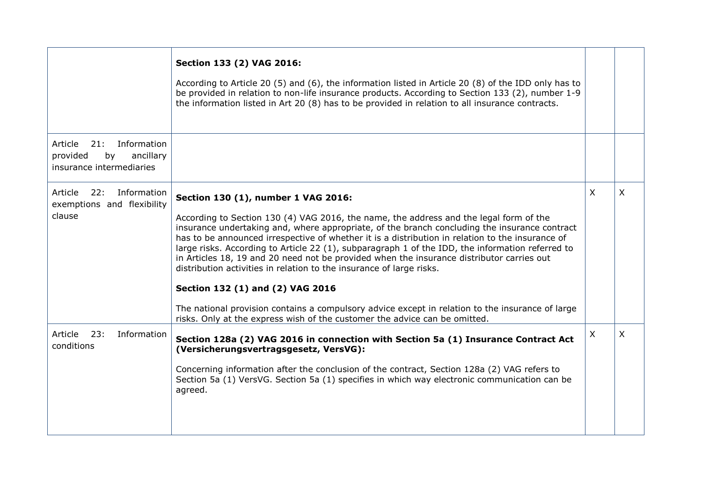|                                                                                          | Section 133 (2) VAG 2016:<br>According to Article 20 (5) and (6), the information listed in Article 20 (8) of the IDD only has to<br>be provided in relation to non-life insurance products. According to Section 133 (2), number 1-9<br>the information listed in Art 20 (8) has to be provided in relation to all insurance contracts.                                                                                                                                                                                                                                                                                                                                                                                                                                                                                          |         |   |
|------------------------------------------------------------------------------------------|-----------------------------------------------------------------------------------------------------------------------------------------------------------------------------------------------------------------------------------------------------------------------------------------------------------------------------------------------------------------------------------------------------------------------------------------------------------------------------------------------------------------------------------------------------------------------------------------------------------------------------------------------------------------------------------------------------------------------------------------------------------------------------------------------------------------------------------|---------|---|
| Article<br>21:<br>Information<br>provided<br>ancillary<br>by<br>insurance intermediaries |                                                                                                                                                                                                                                                                                                                                                                                                                                                                                                                                                                                                                                                                                                                                                                                                                                   |         |   |
| Article<br>22:<br>Information<br>exemptions and flexibility<br>clause                    | Section 130 (1), number 1 VAG 2016:<br>According to Section 130 (4) VAG 2016, the name, the address and the legal form of the<br>insurance undertaking and, where appropriate, of the branch concluding the insurance contract<br>has to be announced irrespective of whether it is a distribution in relation to the insurance of<br>large risks. According to Article 22 (1), subparagraph 1 of the IDD, the information referred to<br>in Articles 18, 19 and 20 need not be provided when the insurance distributor carries out<br>distribution activities in relation to the insurance of large risks.<br>Section 132 (1) and (2) VAG 2016<br>The national provision contains a compulsory advice except in relation to the insurance of large<br>risks. Only at the express wish of the customer the advice can be omitted. | $\sf X$ | X |
| Article 23:<br>Information<br>conditions                                                 | Section 128a (2) VAG 2016 in connection with Section 5a (1) Insurance Contract Act<br>(Versicherungsvertragsgesetz, VersVG):<br>Concerning information after the conclusion of the contract, Section 128a (2) VAG refers to<br>Section 5a (1) VersVG. Section 5a (1) specifies in which way electronic communication can be<br>agreed.                                                                                                                                                                                                                                                                                                                                                                                                                                                                                            | X       | X |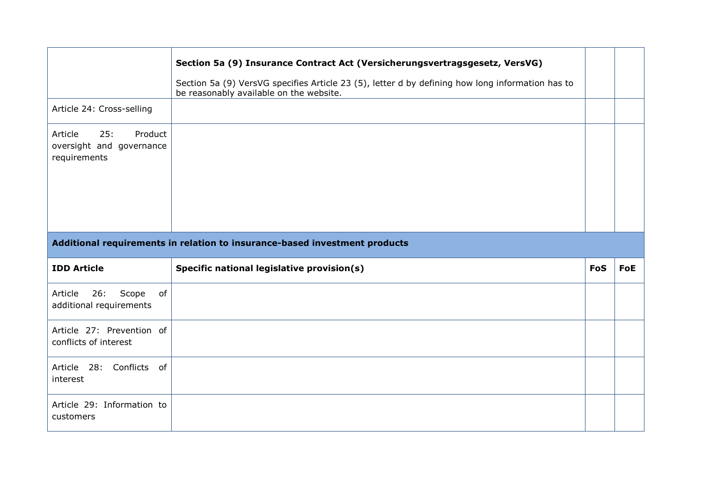|                                                                       | Section 5a (9) Insurance Contract Act (Versicherungsvertragsgesetz, VersVG)<br>Section 5a (9) VersVG specifies Article 23 (5), letter d by defining how long information has to<br>be reasonably available on the website. |            |            |
|-----------------------------------------------------------------------|----------------------------------------------------------------------------------------------------------------------------------------------------------------------------------------------------------------------------|------------|------------|
| Article 24: Cross-selling                                             |                                                                                                                                                                                                                            |            |            |
| Article<br>25:<br>Product<br>oversight and governance<br>requirements |                                                                                                                                                                                                                            |            |            |
|                                                                       |                                                                                                                                                                                                                            |            |            |
|                                                                       | Additional requirements in relation to insurance-based investment products                                                                                                                                                 |            |            |
| <b>IDD Article</b>                                                    | Specific national legislative provision(s)                                                                                                                                                                                 | <b>FoS</b> | <b>FoE</b> |
| 26:<br>Scope<br>of<br>Article<br>additional requirements              |                                                                                                                                                                                                                            |            |            |
| Article 27: Prevention of<br>conflicts of interest                    |                                                                                                                                                                                                                            |            |            |
| Article 28: Conflicts of<br>interest                                  |                                                                                                                                                                                                                            |            |            |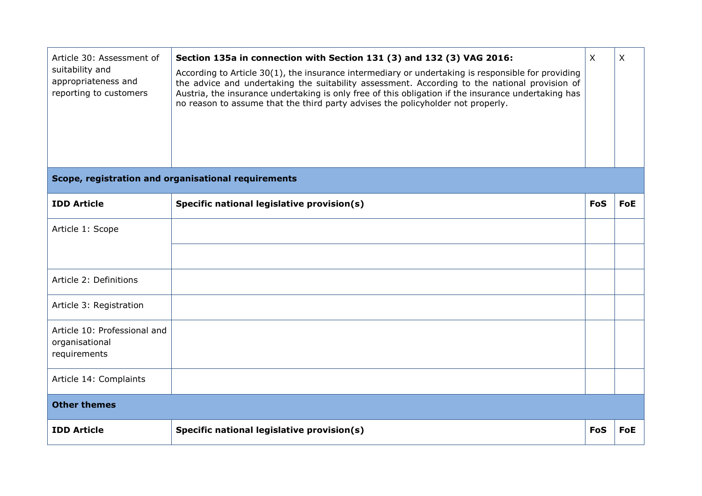| Article 30: Assessment of<br>suitability and<br>appropriateness and<br>reporting to customers | Section 135a in connection with Section 131 (3) and 132 (3) VAG 2016:<br>According to Article $30(1)$ , the insurance intermediary or undertaking is responsible for providing<br>the advice and undertaking the suitability assessment. According to the national provision of<br>Austria, the insurance undertaking is only free of this obligation if the insurance undertaking has<br>no reason to assume that the third party advises the policyholder not properly. | $\mathsf{X}$ | X          |
|-----------------------------------------------------------------------------------------------|---------------------------------------------------------------------------------------------------------------------------------------------------------------------------------------------------------------------------------------------------------------------------------------------------------------------------------------------------------------------------------------------------------------------------------------------------------------------------|--------------|------------|
|                                                                                               | Scope, registration and organisational requirements                                                                                                                                                                                                                                                                                                                                                                                                                       |              |            |
| <b>IDD Article</b>                                                                            | Specific national legislative provision(s)                                                                                                                                                                                                                                                                                                                                                                                                                                | FoS          | <b>FoE</b> |
| Article 1: Scope                                                                              |                                                                                                                                                                                                                                                                                                                                                                                                                                                                           |              |            |
|                                                                                               |                                                                                                                                                                                                                                                                                                                                                                                                                                                                           |              |            |
| Article 2: Definitions                                                                        |                                                                                                                                                                                                                                                                                                                                                                                                                                                                           |              |            |
| Article 3: Registration                                                                       |                                                                                                                                                                                                                                                                                                                                                                                                                                                                           |              |            |
| Article 10: Professional and<br>organisational<br>requirements                                |                                                                                                                                                                                                                                                                                                                                                                                                                                                                           |              |            |
| Article 14: Complaints                                                                        |                                                                                                                                                                                                                                                                                                                                                                                                                                                                           |              |            |
| <b>Other themes</b>                                                                           |                                                                                                                                                                                                                                                                                                                                                                                                                                                                           |              |            |
| <b>IDD Article</b>                                                                            | Specific national legislative provision(s)                                                                                                                                                                                                                                                                                                                                                                                                                                | <b>FoS</b>   | <b>FoE</b> |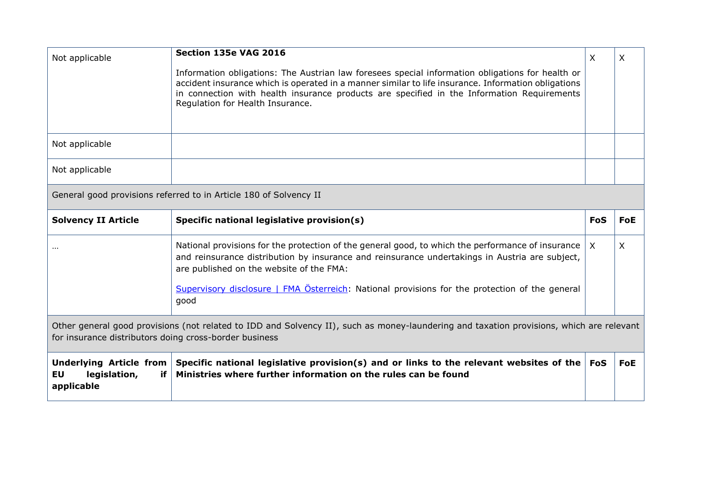| Not applicable                                                                                                                                                                                     | Section 135e VAG 2016<br>Information obligations: The Austrian law foresees special information obligations for health or<br>accident insurance which is operated in a manner similar to life insurance. Information obligations<br>in connection with health insurance products are specified in the Information Requirements<br>Regulation for Health Insurance. | X          | X          |
|----------------------------------------------------------------------------------------------------------------------------------------------------------------------------------------------------|--------------------------------------------------------------------------------------------------------------------------------------------------------------------------------------------------------------------------------------------------------------------------------------------------------------------------------------------------------------------|------------|------------|
| Not applicable                                                                                                                                                                                     |                                                                                                                                                                                                                                                                                                                                                                    |            |            |
| Not applicable                                                                                                                                                                                     |                                                                                                                                                                                                                                                                                                                                                                    |            |            |
|                                                                                                                                                                                                    | General good provisions referred to in Article 180 of Solvency II                                                                                                                                                                                                                                                                                                  |            |            |
| <b>Solvency II Article</b>                                                                                                                                                                         | Specific national legislative provision(s)                                                                                                                                                                                                                                                                                                                         | <b>FoS</b> | <b>FoE</b> |
|                                                                                                                                                                                                    | National provisions for the protection of the general good, to which the performance of insurance<br>and reinsurance distribution by insurance and reinsurance undertakings in Austria are subject,<br>are published on the website of the FMA:<br>Supervisory disclosure   FMA Österreich: National provisions for the protection of the general<br>qood          | $\times$   | X          |
| Other general good provisions (not related to IDD and Solvency II), such as money-laundering and taxation provisions, which are relevant<br>for insurance distributors doing cross-border business |                                                                                                                                                                                                                                                                                                                                                                    |            |            |
| <b>Underlying Article from</b><br><b>EU</b><br>legislation,<br>if<br>applicable                                                                                                                    | Specific national legislative provision(s) and or links to the relevant websites of the<br>Ministries where further information on the rules can be found                                                                                                                                                                                                          | <b>FoS</b> | <b>FoE</b> |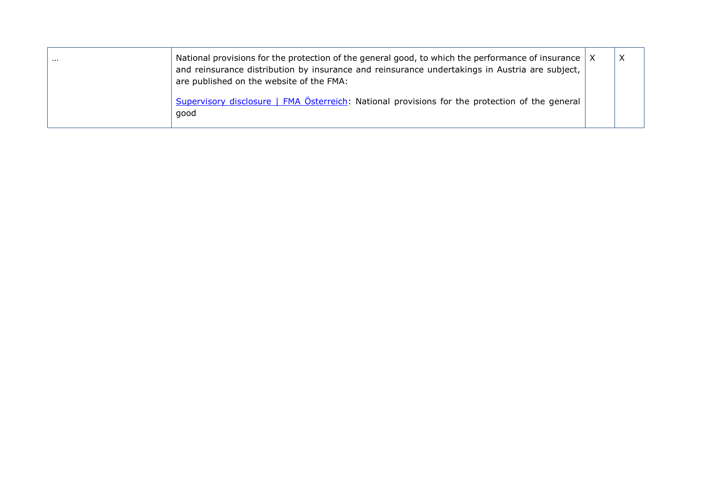| $\cdots$ | National provisions for the protection of the general good, to which the performance of insurance $\vert$ X<br>and reinsurance distribution by insurance and reinsurance undertakings in Austria are subject,<br>are published on the website of the FMA: | X |
|----------|-----------------------------------------------------------------------------------------------------------------------------------------------------------------------------------------------------------------------------------------------------------|---|
|          | Supervisory disclosure   FMA Österreich: National provisions for the protection of the general<br>good                                                                                                                                                    |   |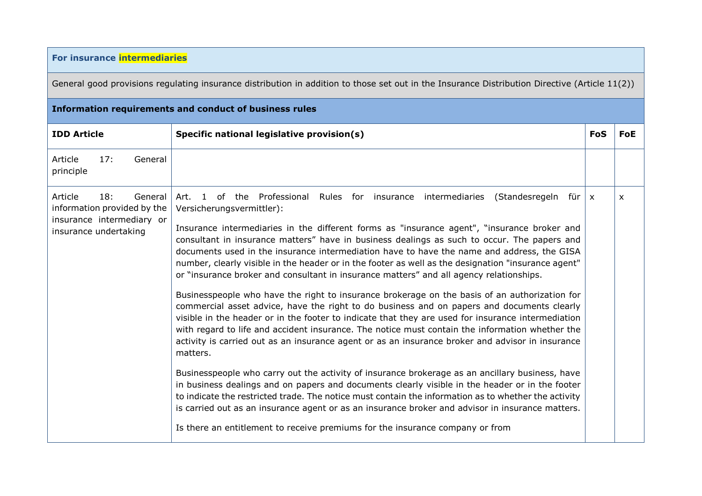## **For insurance intermediaries**

General good provisions regulating insurance distribution in addition to those set out in the Insurance Distribution Directive (Article 11(2))

| <b>Information requirements and conduct of business rules</b>                                                  |                                                                                                                                                                                                                                                                                                                                                                                                                                                                                                                                                                                                                                                                                                                                                                                                                                                                                                                                                                                                                                                                                                                                                                                                                                                                                                                                                                                                                                                                                                                                                                                                                                                  |            |            |  |  |
|----------------------------------------------------------------------------------------------------------------|--------------------------------------------------------------------------------------------------------------------------------------------------------------------------------------------------------------------------------------------------------------------------------------------------------------------------------------------------------------------------------------------------------------------------------------------------------------------------------------------------------------------------------------------------------------------------------------------------------------------------------------------------------------------------------------------------------------------------------------------------------------------------------------------------------------------------------------------------------------------------------------------------------------------------------------------------------------------------------------------------------------------------------------------------------------------------------------------------------------------------------------------------------------------------------------------------------------------------------------------------------------------------------------------------------------------------------------------------------------------------------------------------------------------------------------------------------------------------------------------------------------------------------------------------------------------------------------------------------------------------------------------------|------------|------------|--|--|
| <b>IDD Article</b>                                                                                             | Specific national legislative provision(s)                                                                                                                                                                                                                                                                                                                                                                                                                                                                                                                                                                                                                                                                                                                                                                                                                                                                                                                                                                                                                                                                                                                                                                                                                                                                                                                                                                                                                                                                                                                                                                                                       | <b>FoS</b> | <b>FoE</b> |  |  |
| Article<br>17:<br>General<br>principle                                                                         |                                                                                                                                                                                                                                                                                                                                                                                                                                                                                                                                                                                                                                                                                                                                                                                                                                                                                                                                                                                                                                                                                                                                                                                                                                                                                                                                                                                                                                                                                                                                                                                                                                                  |            |            |  |  |
| Article<br>18:<br>General<br>information provided by the<br>insurance intermediary or<br>insurance undertaking | of the Professional Rules for insurance intermediaries<br>(Standesregeln für $x$<br>Art. 1<br>Versicherungsvermittler):<br>Insurance intermediaries in the different forms as "insurance agent", "insurance broker and<br>consultant in insurance matters" have in business dealings as such to occur. The papers and<br>documents used in the insurance intermediation have to have the name and address, the GISA<br>number, clearly visible in the header or in the footer as well as the designation "insurance agent"<br>or "insurance broker and consultant in insurance matters" and all agency relationships.<br>Businesspeople who have the right to insurance brokerage on the basis of an authorization for<br>commercial asset advice, have the right to do business and on papers and documents clearly<br>visible in the header or in the footer to indicate that they are used for insurance intermediation<br>with regard to life and accident insurance. The notice must contain the information whether the<br>activity is carried out as an insurance agent or as an insurance broker and advisor in insurance<br>matters.<br>Businesspeople who carry out the activity of insurance brokerage as an ancillary business, have<br>in business dealings and on papers and documents clearly visible in the header or in the footer<br>to indicate the restricted trade. The notice must contain the information as to whether the activity<br>is carried out as an insurance agent or as an insurance broker and advisor in insurance matters.<br>Is there an entitlement to receive premiums for the insurance company or from |            | X          |  |  |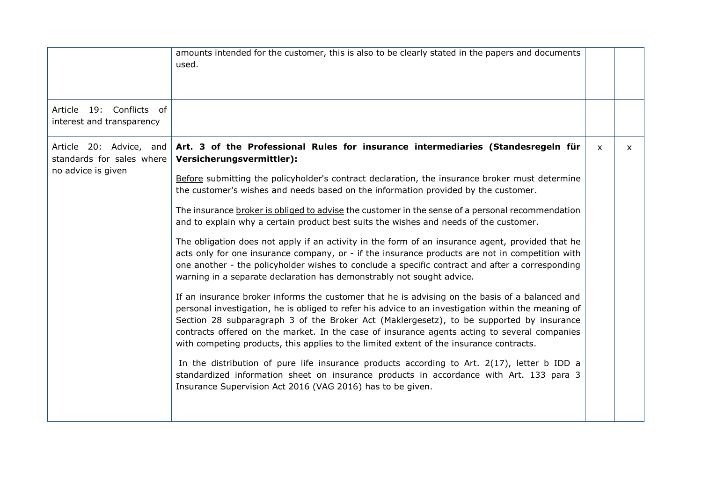|                                                       | amounts intended for the customer, this is also to be clearly stated in the papers and documents<br>used.                                                                                                                                                                                                                                                                                                                                                                                    |              |   |
|-------------------------------------------------------|----------------------------------------------------------------------------------------------------------------------------------------------------------------------------------------------------------------------------------------------------------------------------------------------------------------------------------------------------------------------------------------------------------------------------------------------------------------------------------------------|--------------|---|
| Article 19: Conflicts of<br>interest and transparency |                                                                                                                                                                                                                                                                                                                                                                                                                                                                                              |              |   |
| Article 20: Advice, and<br>standards for sales where  | Art. 3 of the Professional Rules for insurance intermediaries (Standesregeln für<br>Versicherungsvermittler):                                                                                                                                                                                                                                                                                                                                                                                | $\mathsf{x}$ | X |
| no advice is given                                    | Before submitting the policyholder's contract declaration, the insurance broker must determine<br>the customer's wishes and needs based on the information provided by the customer.                                                                                                                                                                                                                                                                                                         |              |   |
|                                                       | The insurance broker is obliged to advise the customer in the sense of a personal recommendation<br>and to explain why a certain product best suits the wishes and needs of the customer.                                                                                                                                                                                                                                                                                                    |              |   |
|                                                       | The obligation does not apply if an activity in the form of an insurance agent, provided that he<br>acts only for one insurance company, or - if the insurance products are not in competition with<br>one another - the policyholder wishes to conclude a specific contract and after a corresponding<br>warning in a separate declaration has demonstrably not sought advice.                                                                                                              |              |   |
|                                                       | If an insurance broker informs the customer that he is advising on the basis of a balanced and<br>personal investigation, he is obliged to refer his advice to an investigation within the meaning of<br>Section 28 subparagraph 3 of the Broker Act (Maklergesetz), to be supported by insurance<br>contracts offered on the market. In the case of insurance agents acting to several companies<br>with competing products, this applies to the limited extent of the insurance contracts. |              |   |
|                                                       | In the distribution of pure life insurance products according to Art. $2(17)$ , letter b IDD a<br>standardized information sheet on insurance products in accordance with Art. 133 para 3<br>Insurance Supervision Act 2016 (VAG 2016) has to be given.                                                                                                                                                                                                                                      |              |   |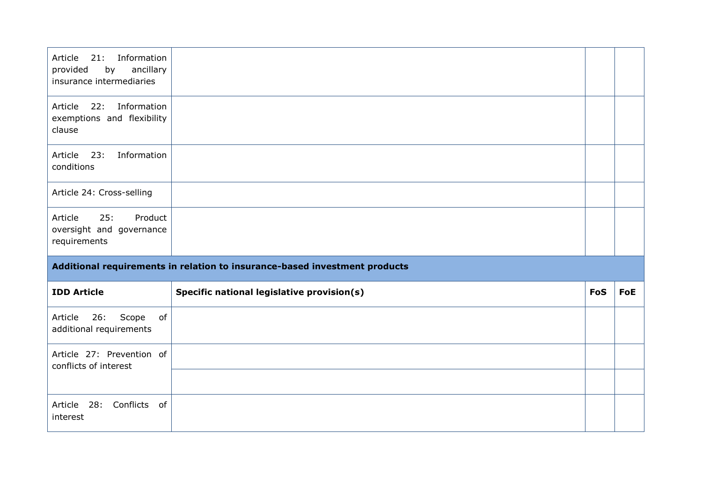| Information<br>21:<br>Article<br>provided<br>ancillary<br>by<br>insurance intermediaries |                                                                            |            |     |
|------------------------------------------------------------------------------------------|----------------------------------------------------------------------------|------------|-----|
| Article 22: Information<br>exemptions and flexibility<br>clause                          |                                                                            |            |     |
| Information<br>23:<br>Article<br>conditions                                              |                                                                            |            |     |
| Article 24: Cross-selling                                                                |                                                                            |            |     |
| 25:<br>Product<br>Article<br>oversight and governance<br>requirements                    |                                                                            |            |     |
|                                                                                          | Additional requirements in relation to insurance-based investment products |            |     |
| <b>IDD Article</b>                                                                       | Specific national legislative provision(s)                                 | <b>FoS</b> | FoE |
| 26:<br>Scope<br>Article<br>of<br>additional requirements                                 |                                                                            |            |     |
| Article 27: Prevention of<br>conflicts of interest                                       |                                                                            |            |     |
|                                                                                          |                                                                            |            |     |
| Article 28: Conflicts of<br>interest                                                     |                                                                            |            |     |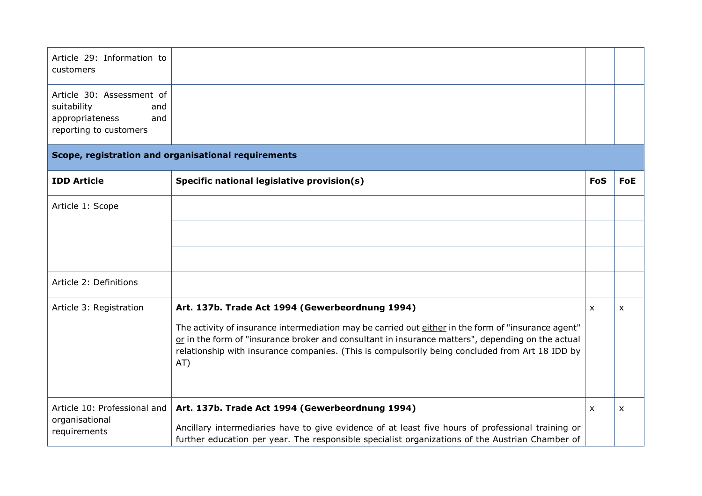| Article 29: Information to<br>customers                        |                                                                                                                                                                                                                                                                                                                                                                       |            |            |
|----------------------------------------------------------------|-----------------------------------------------------------------------------------------------------------------------------------------------------------------------------------------------------------------------------------------------------------------------------------------------------------------------------------------------------------------------|------------|------------|
| Article 30: Assessment of<br>suitability<br>and                |                                                                                                                                                                                                                                                                                                                                                                       |            |            |
| appropriateness<br>and<br>reporting to customers               |                                                                                                                                                                                                                                                                                                                                                                       |            |            |
|                                                                | Scope, registration and organisational requirements                                                                                                                                                                                                                                                                                                                   |            |            |
| <b>IDD Article</b>                                             | Specific national legislative provision(s)                                                                                                                                                                                                                                                                                                                            | <b>FoS</b> | <b>FoE</b> |
| Article 1: Scope                                               |                                                                                                                                                                                                                                                                                                                                                                       |            |            |
|                                                                |                                                                                                                                                                                                                                                                                                                                                                       |            |            |
|                                                                |                                                                                                                                                                                                                                                                                                                                                                       |            |            |
| Article 2: Definitions                                         |                                                                                                                                                                                                                                                                                                                                                                       |            |            |
| Article 3: Registration                                        | Art. 137b. Trade Act 1994 (Gewerbeordnung 1994)<br>The activity of insurance intermediation may be carried out either in the form of "insurance agent"<br>or in the form of "insurance broker and consultant in insurance matters", depending on the actual<br>relationship with insurance companies. (This is compulsorily being concluded from Art 18 IDD by<br>AT) | X          | X          |
| Article 10: Professional and<br>organisational<br>requirements | Art. 137b. Trade Act 1994 (Gewerbeordnung 1994)<br>Ancillary intermediaries have to give evidence of at least five hours of professional training or                                                                                                                                                                                                                  | X          | X          |

further education per year. The responsible specialist organizations of the Austrian Chamber of